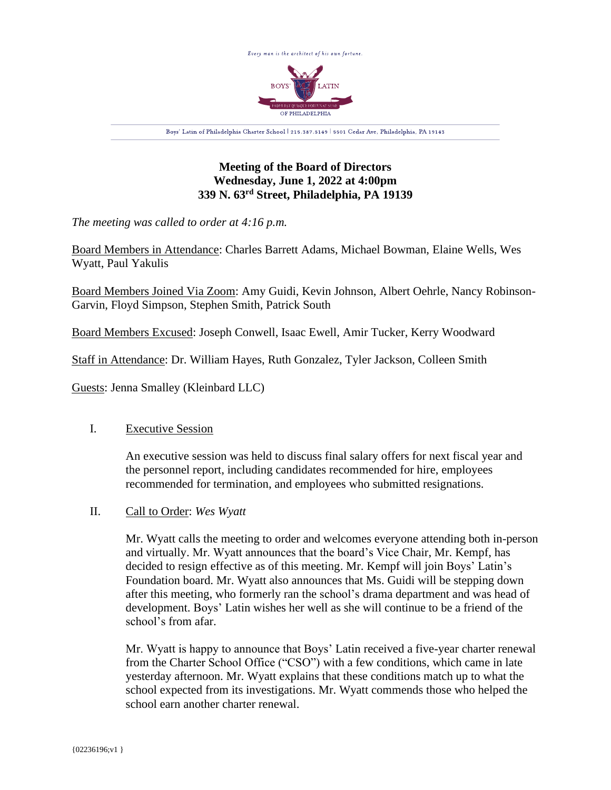

# **Meeting of the Board of Directors Wednesday, June 1, 2022 at 4:00pm 339 N. 63rd Street, Philadelphia, PA 19139**

*The meeting was called to order at 4:16 p.m.*

Board Members in Attendance: Charles Barrett Adams, Michael Bowman, Elaine Wells, Wes Wyatt, Paul Yakulis

Board Members Joined Via Zoom: Amy Guidi, Kevin Johnson, Albert Oehrle, Nancy Robinson-Garvin, Floyd Simpson, Stephen Smith, Patrick South

Board Members Excused: Joseph Conwell, Isaac Ewell, Amir Tucker, Kerry Woodward

Staff in Attendance: Dr. William Hayes, Ruth Gonzalez, Tyler Jackson, Colleen Smith

Guests: Jenna Smalley (Kleinbard LLC)

# I. Executive Session

An executive session was held to discuss final salary offers for next fiscal year and the personnel report, including candidates recommended for hire, employees recommended for termination, and employees who submitted resignations.

# II. Call to Order: *Wes Wyatt*

Mr. Wyatt calls the meeting to order and welcomes everyone attending both in-person and virtually. Mr. Wyatt announces that the board's Vice Chair, Mr. Kempf, has decided to resign effective as of this meeting. Mr. Kempf will join Boys' Latin's Foundation board. Mr. Wyatt also announces that Ms. Guidi will be stepping down after this meeting, who formerly ran the school's drama department and was head of development. Boys' Latin wishes her well as she will continue to be a friend of the school's from afar.

Mr. Wyatt is happy to announce that Boys' Latin received a five-year charter renewal from the Charter School Office ("CSO") with a few conditions, which came in late yesterday afternoon. Mr. Wyatt explains that these conditions match up to what the school expected from its investigations. Mr. Wyatt commends those who helped the school earn another charter renewal.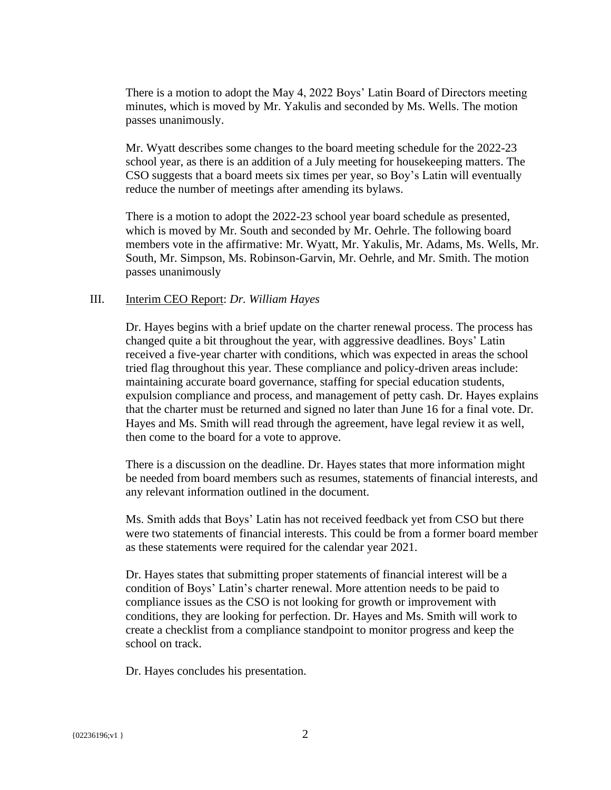There is a motion to adopt the May 4, 2022 Boys' Latin Board of Directors meeting minutes, which is moved by Mr. Yakulis and seconded by Ms. Wells. The motion passes unanimously.

Mr. Wyatt describes some changes to the board meeting schedule for the 2022-23 school year, as there is an addition of a July meeting for housekeeping matters. The CSO suggests that a board meets six times per year, so Boy's Latin will eventually reduce the number of meetings after amending its bylaws.

There is a motion to adopt the 2022-23 school year board schedule as presented, which is moved by Mr. South and seconded by Mr. Oehrle. The following board members vote in the affirmative: Mr. Wyatt, Mr. Yakulis, Mr. Adams, Ms. Wells, Mr. South, Mr. Simpson, Ms. Robinson-Garvin, Mr. Oehrle, and Mr. Smith. The motion passes unanimously

# III. Interim CEO Report: *Dr. William Hayes*

Dr. Hayes begins with a brief update on the charter renewal process. The process has changed quite a bit throughout the year, with aggressive deadlines. Boys' Latin received a five-year charter with conditions, which was expected in areas the school tried flag throughout this year. These compliance and policy-driven areas include: maintaining accurate board governance, staffing for special education students, expulsion compliance and process, and management of petty cash. Dr. Hayes explains that the charter must be returned and signed no later than June 16 for a final vote. Dr. Hayes and Ms. Smith will read through the agreement, have legal review it as well, then come to the board for a vote to approve.

There is a discussion on the deadline. Dr. Hayes states that more information might be needed from board members such as resumes, statements of financial interests, and any relevant information outlined in the document.

Ms. Smith adds that Boys' Latin has not received feedback yet from CSO but there were two statements of financial interests. This could be from a former board member as these statements were required for the calendar year 2021.

Dr. Hayes states that submitting proper statements of financial interest will be a condition of Boys' Latin's charter renewal. More attention needs to be paid to compliance issues as the CSO is not looking for growth or improvement with conditions, they are looking for perfection. Dr. Hayes and Ms. Smith will work to create a checklist from a compliance standpoint to monitor progress and keep the school on track.

Dr. Hayes concludes his presentation.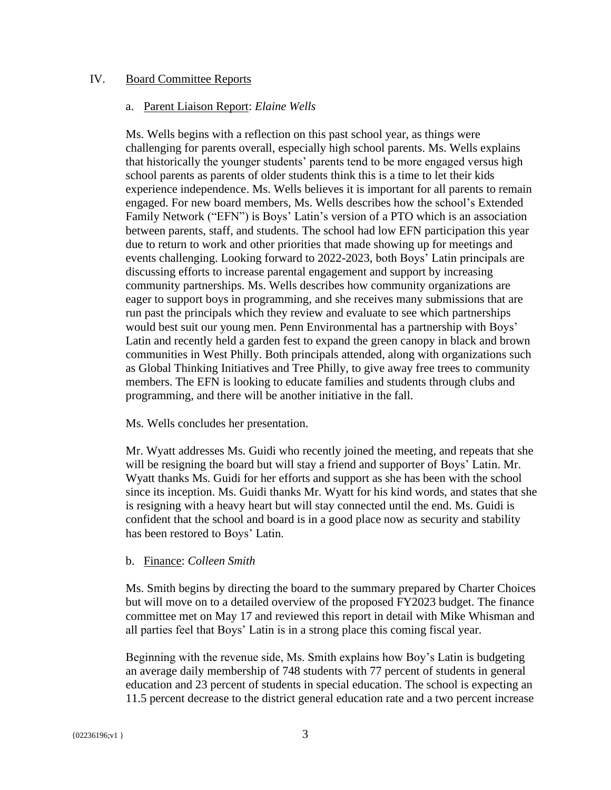## IV. Board Committee Reports

## a. Parent Liaison Report: *Elaine Wells*

Ms. Wells begins with a reflection on this past school year, as things were challenging for parents overall, especially high school parents. Ms. Wells explains that historically the younger students' parents tend to be more engaged versus high school parents as parents of older students think this is a time to let their kids experience independence. Ms. Wells believes it is important for all parents to remain engaged. For new board members, Ms. Wells describes how the school's Extended Family Network ("EFN") is Boys' Latin's version of a PTO which is an association between parents, staff, and students. The school had low EFN participation this year due to return to work and other priorities that made showing up for meetings and events challenging. Looking forward to 2022-2023, both Boys' Latin principals are discussing efforts to increase parental engagement and support by increasing community partnerships. Ms. Wells describes how community organizations are eager to support boys in programming, and she receives many submissions that are run past the principals which they review and evaluate to see which partnerships would best suit our young men. Penn Environmental has a partnership with Boys' Latin and recently held a garden fest to expand the green canopy in black and brown communities in West Philly. Both principals attended, along with organizations such as Global Thinking Initiatives and Tree Philly, to give away free trees to community members. The EFN is looking to educate families and students through clubs and programming, and there will be another initiative in the fall.

Ms. Wells concludes her presentation.

Mr. Wyatt addresses Ms. Guidi who recently joined the meeting, and repeats that she will be resigning the board but will stay a friend and supporter of Boys' Latin. Mr. Wyatt thanks Ms. Guidi for her efforts and support as she has been with the school since its inception. Ms. Guidi thanks Mr. Wyatt for his kind words, and states that she is resigning with a heavy heart but will stay connected until the end. Ms. Guidi is confident that the school and board is in a good place now as security and stability has been restored to Boys' Latin.

## b. Finance: *Colleen Smith*

Ms. Smith begins by directing the board to the summary prepared by Charter Choices but will move on to a detailed overview of the proposed FY2023 budget. The finance committee met on May 17 and reviewed this report in detail with Mike Whisman and all parties feel that Boys' Latin is in a strong place this coming fiscal year.

Beginning with the revenue side, Ms. Smith explains how Boy's Latin is budgeting an average daily membership of 748 students with 77 percent of students in general education and 23 percent of students in special education. The school is expecting an 11.5 percent decrease to the district general education rate and a two percent increase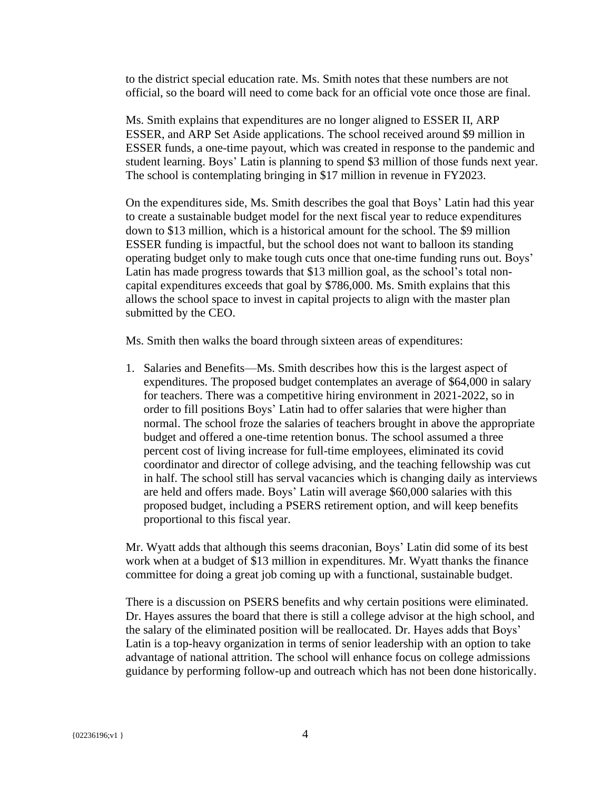to the district special education rate. Ms. Smith notes that these numbers are not official, so the board will need to come back for an official vote once those are final.

Ms. Smith explains that expenditures are no longer aligned to ESSER II, ARP ESSER, and ARP Set Aside applications. The school received around \$9 million in ESSER funds, a one-time payout, which was created in response to the pandemic and student learning. Boys' Latin is planning to spend \$3 million of those funds next year. The school is contemplating bringing in \$17 million in revenue in FY2023.

On the expenditures side, Ms. Smith describes the goal that Boys' Latin had this year to create a sustainable budget model for the next fiscal year to reduce expenditures down to \$13 million, which is a historical amount for the school. The \$9 million ESSER funding is impactful, but the school does not want to balloon its standing operating budget only to make tough cuts once that one-time funding runs out. Boys' Latin has made progress towards that \$13 million goal, as the school's total noncapital expenditures exceeds that goal by \$786,000. Ms. Smith explains that this allows the school space to invest in capital projects to align with the master plan submitted by the CEO.

Ms. Smith then walks the board through sixteen areas of expenditures:

1. Salaries and Benefits—Ms. Smith describes how this is the largest aspect of expenditures. The proposed budget contemplates an average of \$64,000 in salary for teachers. There was a competitive hiring environment in 2021-2022, so in order to fill positions Boys' Latin had to offer salaries that were higher than normal. The school froze the salaries of teachers brought in above the appropriate budget and offered a one-time retention bonus. The school assumed a three percent cost of living increase for full-time employees, eliminated its covid coordinator and director of college advising, and the teaching fellowship was cut in half. The school still has serval vacancies which is changing daily as interviews are held and offers made. Boys' Latin will average \$60,000 salaries with this proposed budget, including a PSERS retirement option, and will keep benefits proportional to this fiscal year.

Mr. Wyatt adds that although this seems draconian, Boys' Latin did some of its best work when at a budget of \$13 million in expenditures. Mr. Wyatt thanks the finance committee for doing a great job coming up with a functional, sustainable budget.

There is a discussion on PSERS benefits and why certain positions were eliminated. Dr. Hayes assures the board that there is still a college advisor at the high school, and the salary of the eliminated position will be reallocated. Dr. Hayes adds that Boys' Latin is a top-heavy organization in terms of senior leadership with an option to take advantage of national attrition. The school will enhance focus on college admissions guidance by performing follow-up and outreach which has not been done historically.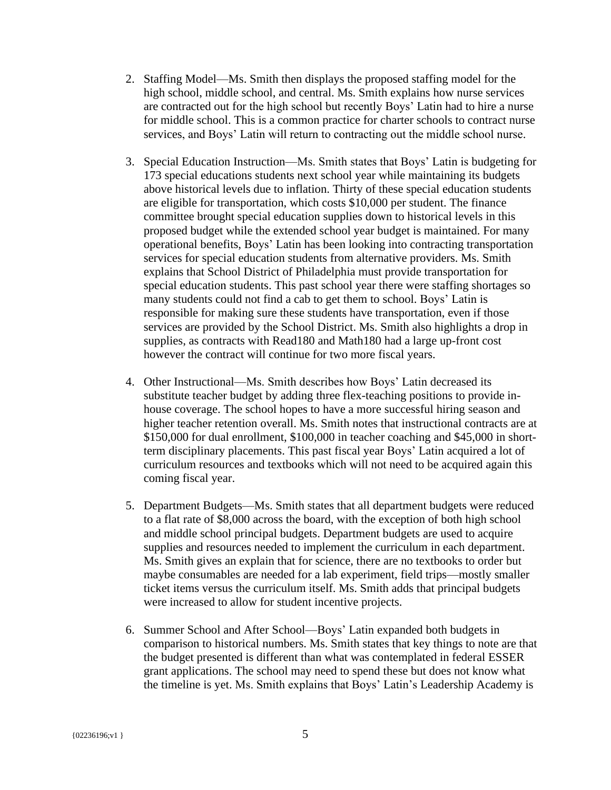- 2. Staffing Model—Ms. Smith then displays the proposed staffing model for the high school, middle school, and central. Ms. Smith explains how nurse services are contracted out for the high school but recently Boys' Latin had to hire a nurse for middle school. This is a common practice for charter schools to contract nurse services, and Boys' Latin will return to contracting out the middle school nurse.
- 3. Special Education Instruction—Ms. Smith states that Boys' Latin is budgeting for 173 special educations students next school year while maintaining its budgets above historical levels due to inflation. Thirty of these special education students are eligible for transportation, which costs \$10,000 per student. The finance committee brought special education supplies down to historical levels in this proposed budget while the extended school year budget is maintained. For many operational benefits, Boys' Latin has been looking into contracting transportation services for special education students from alternative providers. Ms. Smith explains that School District of Philadelphia must provide transportation for special education students. This past school year there were staffing shortages so many students could not find a cab to get them to school. Boys' Latin is responsible for making sure these students have transportation, even if those services are provided by the School District. Ms. Smith also highlights a drop in supplies, as contracts with Read180 and Math180 had a large up-front cost however the contract will continue for two more fiscal years.
- 4. Other Instructional—Ms. Smith describes how Boys' Latin decreased its substitute teacher budget by adding three flex-teaching positions to provide inhouse coverage. The school hopes to have a more successful hiring season and higher teacher retention overall. Ms. Smith notes that instructional contracts are at \$150,000 for dual enrollment, \$100,000 in teacher coaching and \$45,000 in shortterm disciplinary placements. This past fiscal year Boys' Latin acquired a lot of curriculum resources and textbooks which will not need to be acquired again this coming fiscal year.
- 5. Department Budgets—Ms. Smith states that all department budgets were reduced to a flat rate of \$8,000 across the board, with the exception of both high school and middle school principal budgets. Department budgets are used to acquire supplies and resources needed to implement the curriculum in each department. Ms. Smith gives an explain that for science, there are no textbooks to order but maybe consumables are needed for a lab experiment, field trips—mostly smaller ticket items versus the curriculum itself. Ms. Smith adds that principal budgets were increased to allow for student incentive projects.
- 6. Summer School and After School—Boys' Latin expanded both budgets in comparison to historical numbers. Ms. Smith states that key things to note are that the budget presented is different than what was contemplated in federal ESSER grant applications. The school may need to spend these but does not know what the timeline is yet. Ms. Smith explains that Boys' Latin's Leadership Academy is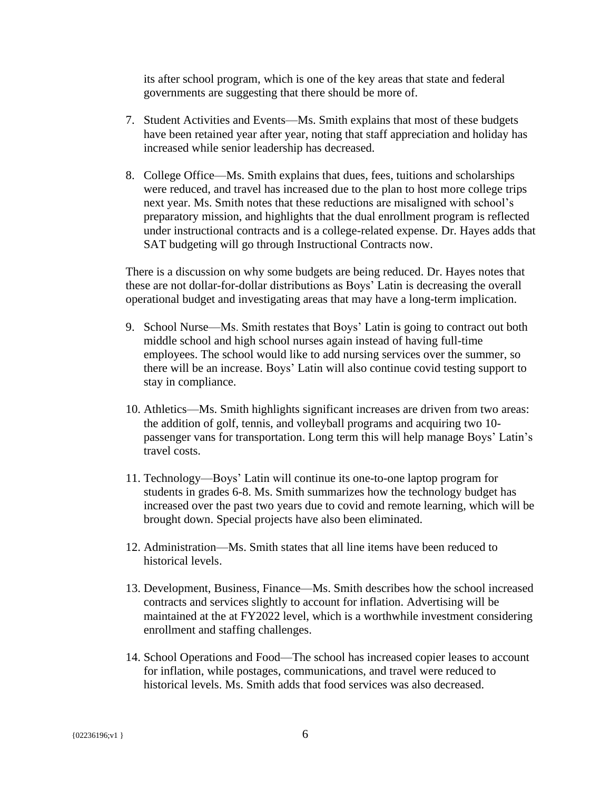its after school program, which is one of the key areas that state and federal governments are suggesting that there should be more of.

- 7. Student Activities and Events—Ms. Smith explains that most of these budgets have been retained year after year, noting that staff appreciation and holiday has increased while senior leadership has decreased.
- 8. College Office—Ms. Smith explains that dues, fees, tuitions and scholarships were reduced, and travel has increased due to the plan to host more college trips next year. Ms. Smith notes that these reductions are misaligned with school's preparatory mission, and highlights that the dual enrollment program is reflected under instructional contracts and is a college-related expense. Dr. Hayes adds that SAT budgeting will go through Instructional Contracts now.

There is a discussion on why some budgets are being reduced. Dr. Hayes notes that these are not dollar-for-dollar distributions as Boys' Latin is decreasing the overall operational budget and investigating areas that may have a long-term implication.

- 9. School Nurse—Ms. Smith restates that Boys' Latin is going to contract out both middle school and high school nurses again instead of having full-time employees. The school would like to add nursing services over the summer, so there will be an increase. Boys' Latin will also continue covid testing support to stay in compliance.
- 10. Athletics—Ms. Smith highlights significant increases are driven from two areas: the addition of golf, tennis, and volleyball programs and acquiring two 10 passenger vans for transportation. Long term this will help manage Boys' Latin's travel costs.
- 11. Technology—Boys' Latin will continue its one-to-one laptop program for students in grades 6-8. Ms. Smith summarizes how the technology budget has increased over the past two years due to covid and remote learning, which will be brought down. Special projects have also been eliminated.
- 12. Administration—Ms. Smith states that all line items have been reduced to historical levels.
- 13. Development, Business, Finance—Ms. Smith describes how the school increased contracts and services slightly to account for inflation. Advertising will be maintained at the at FY2022 level, which is a worthwhile investment considering enrollment and staffing challenges.
- 14. School Operations and Food—The school has increased copier leases to account for inflation, while postages, communications, and travel were reduced to historical levels. Ms. Smith adds that food services was also decreased.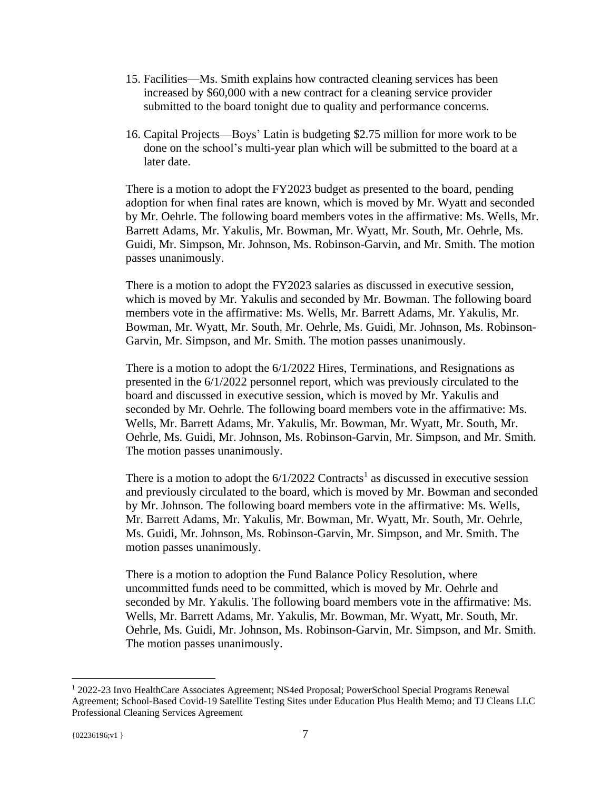- 15. Facilities—Ms. Smith explains how contracted cleaning services has been increased by \$60,000 with a new contract for a cleaning service provider submitted to the board tonight due to quality and performance concerns.
- 16. Capital Projects—Boys' Latin is budgeting \$2.75 million for more work to be done on the school's multi-year plan which will be submitted to the board at a later date.

There is a motion to adopt the FY2023 budget as presented to the board, pending adoption for when final rates are known, which is moved by Mr. Wyatt and seconded by Mr. Oehrle. The following board members votes in the affirmative: Ms. Wells, Mr. Barrett Adams, Mr. Yakulis, Mr. Bowman, Mr. Wyatt, Mr. South, Mr. Oehrle, Ms. Guidi, Mr. Simpson, Mr. Johnson, Ms. Robinson-Garvin, and Mr. Smith. The motion passes unanimously.

There is a motion to adopt the FY2023 salaries as discussed in executive session, which is moved by Mr. Yakulis and seconded by Mr. Bowman. The following board members vote in the affirmative: Ms. Wells, Mr. Barrett Adams, Mr. Yakulis, Mr. Bowman, Mr. Wyatt, Mr. South, Mr. Oehrle, Ms. Guidi, Mr. Johnson, Ms. Robinson-Garvin, Mr. Simpson, and Mr. Smith. The motion passes unanimously.

There is a motion to adopt the 6/1/2022 Hires, Terminations, and Resignations as presented in the 6/1/2022 personnel report, which was previously circulated to the board and discussed in executive session, which is moved by Mr. Yakulis and seconded by Mr. Oehrle. The following board members vote in the affirmative: Ms. Wells, Mr. Barrett Adams, Mr. Yakulis, Mr. Bowman, Mr. Wyatt, Mr. South, Mr. Oehrle, Ms. Guidi, Mr. Johnson, Ms. Robinson-Garvin, Mr. Simpson, and Mr. Smith. The motion passes unanimously.

There is a motion to adopt the  $6/1/2022$  Contracts<sup>1</sup> as discussed in executive session and previously circulated to the board, which is moved by Mr. Bowman and seconded by Mr. Johnson. The following board members vote in the affirmative: Ms. Wells, Mr. Barrett Adams, Mr. Yakulis, Mr. Bowman, Mr. Wyatt, Mr. South, Mr. Oehrle, Ms. Guidi, Mr. Johnson, Ms. Robinson-Garvin, Mr. Simpson, and Mr. Smith. The motion passes unanimously.

There is a motion to adoption the Fund Balance Policy Resolution, where uncommitted funds need to be committed, which is moved by Mr. Oehrle and seconded by Mr. Yakulis. The following board members vote in the affirmative: Ms. Wells, Mr. Barrett Adams, Mr. Yakulis, Mr. Bowman, Mr. Wyatt, Mr. South, Mr. Oehrle, Ms. Guidi, Mr. Johnson, Ms. Robinson-Garvin, Mr. Simpson, and Mr. Smith. The motion passes unanimously.

<sup>1</sup> 2022-23 Invo HealthCare Associates Agreement; NS4ed Proposal; PowerSchool Special Programs Renewal Agreement; School-Based Covid-19 Satellite Testing Sites under Education Plus Health Memo; and TJ Cleans LLC Professional Cleaning Services Agreement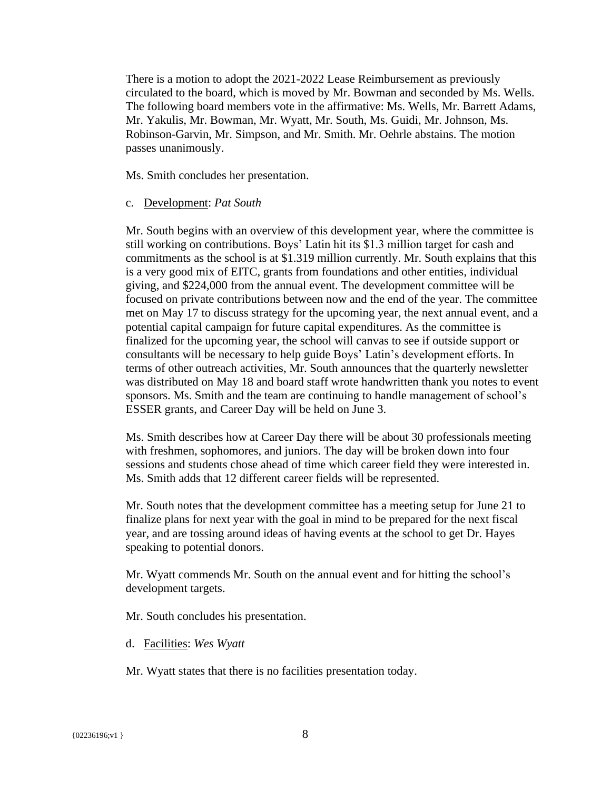There is a motion to adopt the 2021-2022 Lease Reimbursement as previously circulated to the board, which is moved by Mr. Bowman and seconded by Ms. Wells. The following board members vote in the affirmative: Ms. Wells, Mr. Barrett Adams, Mr. Yakulis, Mr. Bowman, Mr. Wyatt, Mr. South, Ms. Guidi, Mr. Johnson, Ms. Robinson-Garvin, Mr. Simpson, and Mr. Smith. Mr. Oehrle abstains. The motion passes unanimously.

Ms. Smith concludes her presentation.

## c. Development: *Pat South*

Mr. South begins with an overview of this development year, where the committee is still working on contributions. Boys' Latin hit its \$1.3 million target for cash and commitments as the school is at \$1.319 million currently. Mr. South explains that this is a very good mix of EITC, grants from foundations and other entities, individual giving, and \$224,000 from the annual event. The development committee will be focused on private contributions between now and the end of the year. The committee met on May 17 to discuss strategy for the upcoming year, the next annual event, and a potential capital campaign for future capital expenditures. As the committee is finalized for the upcoming year, the school will canvas to see if outside support or consultants will be necessary to help guide Boys' Latin's development efforts. In terms of other outreach activities, Mr. South announces that the quarterly newsletter was distributed on May 18 and board staff wrote handwritten thank you notes to event sponsors. Ms. Smith and the team are continuing to handle management of school's ESSER grants, and Career Day will be held on June 3.

Ms. Smith describes how at Career Day there will be about 30 professionals meeting with freshmen, sophomores, and juniors. The day will be broken down into four sessions and students chose ahead of time which career field they were interested in. Ms. Smith adds that 12 different career fields will be represented.

Mr. South notes that the development committee has a meeting setup for June 21 to finalize plans for next year with the goal in mind to be prepared for the next fiscal year, and are tossing around ideas of having events at the school to get Dr. Hayes speaking to potential donors.

Mr. Wyatt commends Mr. South on the annual event and for hitting the school's development targets.

Mr. South concludes his presentation.

d. Facilities: *Wes Wyatt*

Mr. Wyatt states that there is no facilities presentation today.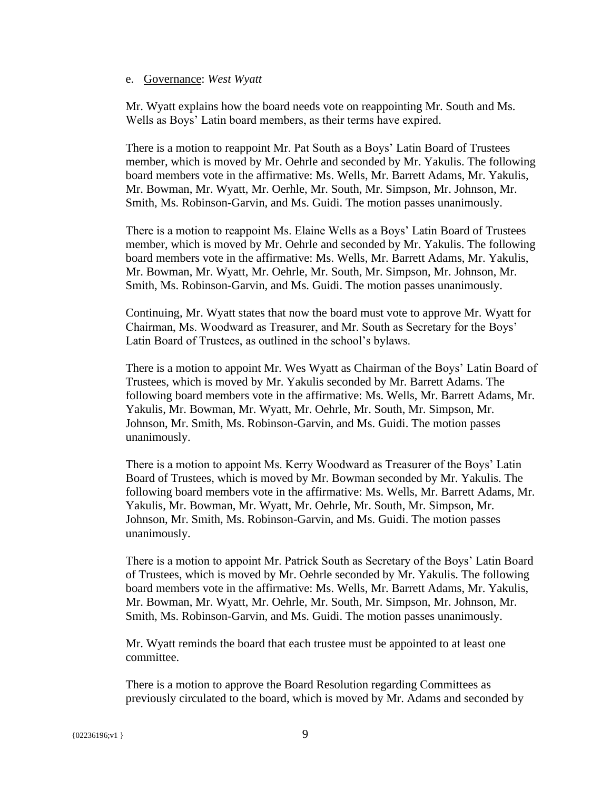## e. Governance: *West Wyatt*

Mr. Wyatt explains how the board needs vote on reappointing Mr. South and Ms. Wells as Boys' Latin board members, as their terms have expired.

There is a motion to reappoint Mr. Pat South as a Boys' Latin Board of Trustees member, which is moved by Mr. Oehrle and seconded by Mr. Yakulis. The following board members vote in the affirmative: Ms. Wells, Mr. Barrett Adams, Mr. Yakulis, Mr. Bowman, Mr. Wyatt, Mr. Oerhle, Mr. South, Mr. Simpson, Mr. Johnson, Mr. Smith, Ms. Robinson-Garvin, and Ms. Guidi. The motion passes unanimously.

There is a motion to reappoint Ms. Elaine Wells as a Boys' Latin Board of Trustees member, which is moved by Mr. Oehrle and seconded by Mr. Yakulis. The following board members vote in the affirmative: Ms. Wells, Mr. Barrett Adams, Mr. Yakulis, Mr. Bowman, Mr. Wyatt, Mr. Oehrle, Mr. South, Mr. Simpson, Mr. Johnson, Mr. Smith, Ms. Robinson-Garvin, and Ms. Guidi. The motion passes unanimously.

Continuing, Mr. Wyatt states that now the board must vote to approve Mr. Wyatt for Chairman, Ms. Woodward as Treasurer, and Mr. South as Secretary for the Boys' Latin Board of Trustees, as outlined in the school's bylaws.

There is a motion to appoint Mr. Wes Wyatt as Chairman of the Boys' Latin Board of Trustees, which is moved by Mr. Yakulis seconded by Mr. Barrett Adams. The following board members vote in the affirmative: Ms. Wells, Mr. Barrett Adams, Mr. Yakulis, Mr. Bowman, Mr. Wyatt, Mr. Oehrle, Mr. South, Mr. Simpson, Mr. Johnson, Mr. Smith, Ms. Robinson-Garvin, and Ms. Guidi. The motion passes unanimously.

There is a motion to appoint Ms. Kerry Woodward as Treasurer of the Boys' Latin Board of Trustees, which is moved by Mr. Bowman seconded by Mr. Yakulis. The following board members vote in the affirmative: Ms. Wells, Mr. Barrett Adams, Mr. Yakulis, Mr. Bowman, Mr. Wyatt, Mr. Oehrle, Mr. South, Mr. Simpson, Mr. Johnson, Mr. Smith, Ms. Robinson-Garvin, and Ms. Guidi. The motion passes unanimously.

There is a motion to appoint Mr. Patrick South as Secretary of the Boys' Latin Board of Trustees, which is moved by Mr. Oehrle seconded by Mr. Yakulis. The following board members vote in the affirmative: Ms. Wells, Mr. Barrett Adams, Mr. Yakulis, Mr. Bowman, Mr. Wyatt, Mr. Oehrle, Mr. South, Mr. Simpson, Mr. Johnson, Mr. Smith, Ms. Robinson-Garvin, and Ms. Guidi. The motion passes unanimously.

Mr. Wyatt reminds the board that each trustee must be appointed to at least one committee.

There is a motion to approve the Board Resolution regarding Committees as previously circulated to the board, which is moved by Mr. Adams and seconded by